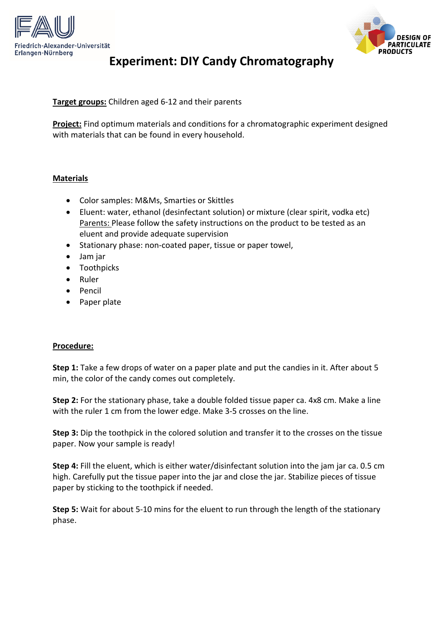



## **Experiment: DIY Candy Chromatography**

**Target groups:** Children aged 6-12 and their parents

**Project:** Find optimum materials and conditions for a chromatographic experiment designed with materials that can be found in every household.

## **Materials**

- Color samples: M&Ms, Smarties or Skittles
- Eluent: water, ethanol (desinfectant solution) or mixture (clear spirit, vodka etc) Parents: Please follow the safety instructions on the product to be tested as an eluent and provide adequate supervision
- Stationary phase: non-coated paper, tissue or paper towel,
- Jam jar
- Toothpicks
- Ruler
- Pencil
- Paper plate

## **Procedure:**

**Step 1:** Take a few drops of water on a paper plate and put the candies in it. After about 5 min, the color of the candy comes out completely.

**Step 2:** For the stationary phase, take a double folded tissue paper ca. 4x8 cm. Make a line with the ruler 1 cm from the lower edge. Make 3-5 crosses on the line.

**Step 3:** Dip the toothpick in the colored solution and transfer it to the crosses on the tissue paper. Now your sample is ready!

**Step 4:** Fill the eluent, which is either water/disinfectant solution into the jam jar ca. 0.5 cm high. Carefully put the tissue paper into the jar and close the jar. Stabilize pieces of tissue paper by sticking to the toothpick if needed.

**Step 5:** Wait for about 5-10 mins for the eluent to run through the length of the stationary phase.